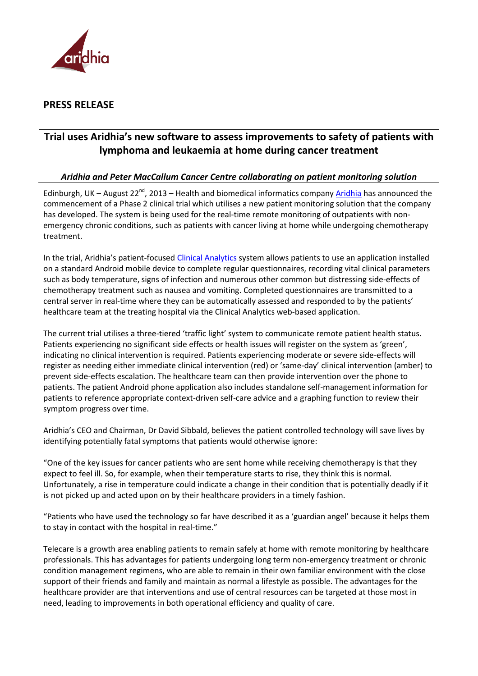

## **PRESS RELEASE**

# **Trial uses Aridhia's new software to assess improvements to safety of patients with lymphoma and leukaemia at home during cancer treatment**

### *Aridhia and Peter MacCallum Cancer Centre collaborating on patient monitoring solution*

Edinburgh, UK – August 22<sup>nd</sup>, 2013 – Health and biomedical informatics company <u>Aridhia</u> has announced the commencement of a Phase 2 clinical trial which utilises a new patient monitoring solution that the company has developed. The system is being used for the real-time remote monitoring of outpatients with nonemergency chronic conditions, such as patients with cancer living at home while undergoing chemotherapy treatment.

In the trial, Aridhia's patient-focused [Clinical Analytics](http://www.aridhia.com/what-we-do/clinical-analytics) system allows patients to use an application installed on a standard Android mobile device to complete regular questionnaires, recording vital clinical parameters such as body temperature, signs of infection and numerous other common but distressing side-effects of chemotherapy treatment such as nausea and vomiting. Completed questionnaires are transmitted to a central server in real-time where they can be automatically assessed and responded to by the patients' healthcare team at the treating hospital via the Clinical Analytics web-based application.

The current trial utilises a three-tiered 'traffic light' system to communicate remote patient health status. Patients experiencing no significant side effects or health issues will register on the system as 'green', indicating no clinical intervention is required. Patients experiencing moderate or severe side-effects will register as needing either immediate clinical intervention (red) or 'same-day' clinical intervention (amber) to prevent side-effects escalation. The healthcare team can then provide intervention over the phone to patients. The patient Android phone application also includes standalone self-management information for patients to reference appropriate context-driven self-care advice and a graphing function to review their symptom progress over time.

Aridhia's CEO and Chairman, Dr David Sibbald, believes the patient controlled technology will save lives by identifying potentially fatal symptoms that patients would otherwise ignore:

"One of the key issues for cancer patients who are sent home while receiving chemotherapy is that they expect to feel ill. So, for example, when their temperature starts to rise, they think this is normal. Unfortunately, a rise in temperature could indicate a change in their condition that is potentially deadly if it is not picked up and acted upon on by their healthcare providers in a timely fashion.

"Patients who have used the technology so far have described it as a 'guardian angel' because it helps them to stay in contact with the hospital in real-time."

Telecare is a growth area enabling patients to remain safely at home with remote monitoring by healthcare professionals. This has advantages for patients undergoing long term non-emergency treatment or chronic condition management regimens, who are able to remain in their own familiar environment with the close support of their friends and family and maintain as normal a lifestyle as possible. The advantages for the healthcare provider are that interventions and use of central resources can be targeted at those most in need, leading to improvements in both operational efficiency and quality of care.